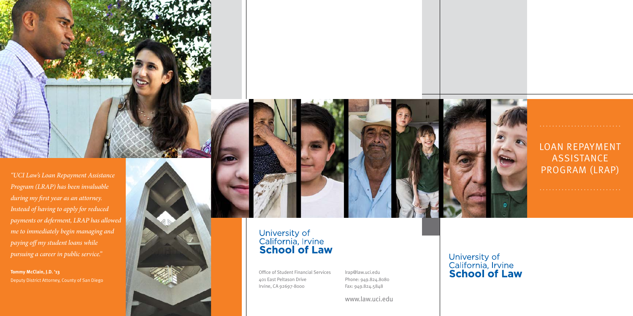Office of Student Financial Services 401 East Peltason Drive Irvine, CA 92697-8000

## LOAN REPAYMENT **ASSISTANCE**

University of<br>California, Irvine<br>**School of Law** 



## University of<br>California, Irvine<br>**School of Law**

*Program (LRAP) has been invaluable during my first year as an attorney. Instead of having to apply for reduced payments or deferment, LRAP has allowed me to immediately begin managing and paying off my student loans while pursuing a career in public service."*

**Tommy McClain, J.D. '13** Deputy District Attorney, County of San Diego



lrap@law.uci.edu Phone: 949.824.8080 Fax: 949.824.5848

www.law.uci.edu